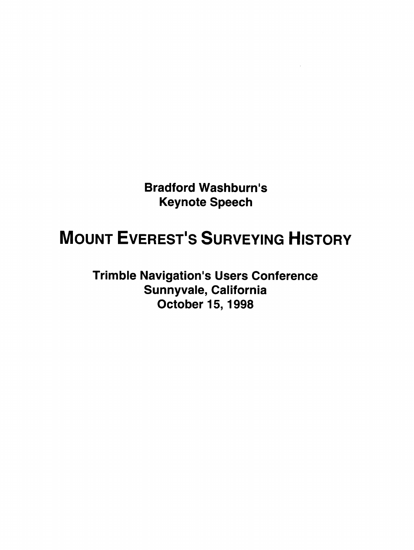**Bradford Washburn's Keynote Speech** 

## **MOUNT EVEREST'S SURVEYING HISTORY**

**Trimble Navigation's Users Conference Sunnyvale, California October 15,1998**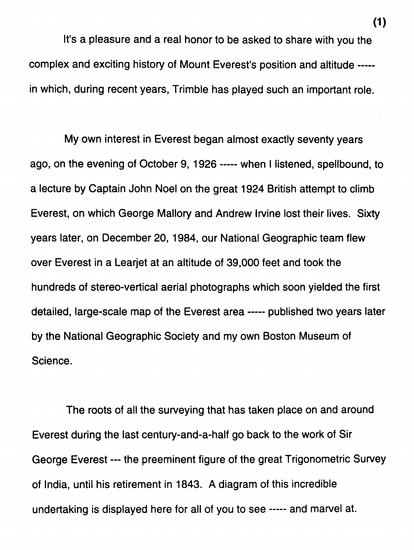It's a pleasure and a real honor to be asked to share with you the complex and exciting history of Mount Everest's position and altitude ---- in which, during recent years, Trimble has played such an important role.

My own interest in Everest began almost exactly seventy years ago, on the evening of October 9, 1926 ----- when I listened, spellbound, to a lecture by Captain John Noel on the great 1924 British attempt to climb Everest, on which George Mallory and Andrew lwine lost their lives. Sixty years later, on December 20, 1984, our National Geographic team flew over Everest in a Learjet at an altitude of 39,000 feet and took the hundreds of stereo-vertical aerial photographs which soon yielded the first detailed, large-scale map of the Everest area ----- published two years later by the National Geographic Society and my own Boston Museum of Science.

The roots of all the surveying that has taken place on and around Everest during the last century-and-a-half go back to the work of Sir George Everest --- the preeminent figure of the great Trigonometric Survey of India, until his retirement in 1843. **A** diagram of this incredible undertaking is displayed here for all of you to see ----- and marvel at.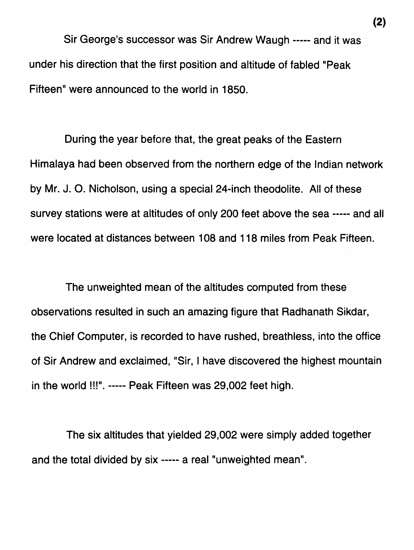Sir George's successor was Sir Andrew Waugh ----- and it was under his direction that the first position and altitude of fabled "Peak Fifteen" were announced to the world in 1850.

During the year before that, the great peaks of the Eastern Himalaya had been observed from the northern edge of the Indian network by Mr. J. **0.** Nicholson, using a special 24-inch theodolite. All of these survey stations were at altitudes of only 200 feet above the sea ----- and all were located at distances between 108 and 118 miles from Peak Fifteen.

The unweighted mean of the altitudes computed from these observations resulted in such an amazing figure that Radhanath Sikdar, the Chief Computer, is recorded to have rushed, breathless, into the office of Sir Andrew and exclaimed, "Sir, I have discovered the highest mountain in the world !!!". ----- Peak Fifteen was 29,002 feet high.

The six altitudes that yielded 29,002 were simply added together and the total divided by six ----- a real "unweighted mean".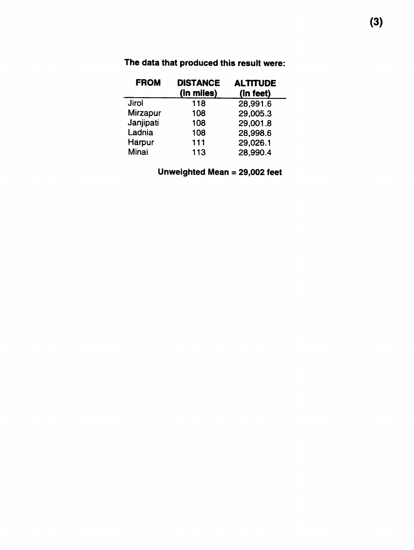| <b>FROM</b>     | <b>DISTANCE</b><br>(in miles) | <b>ALTITUDE</b><br>(In feet) |
|-----------------|-------------------------------|------------------------------|
| <b>Jirol</b>    | 118                           | 28,991.6                     |
| <b>Mirzapur</b> | 108                           | 29,005.3                     |
| Janjipati       | 108                           | 29,001.8                     |
| Ladnia          | 108                           | 28,998.6                     |
| Harpur          | 111                           | 29,026.1                     |
| Minai           | 113                           | 28,990.4                     |

**The data that produced this result were:** 

## **Unweighted Mean** = **29,002 feet**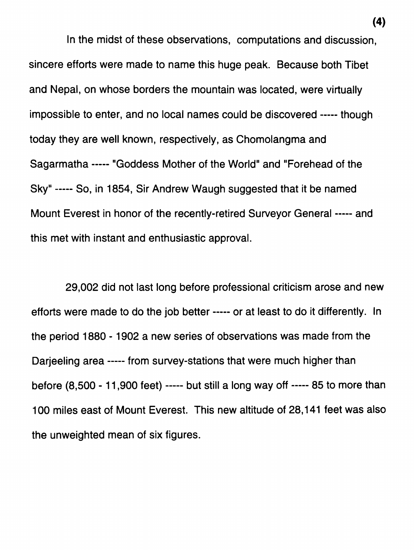In the midst of these observations, computations and discussion, sincere efforts were made to name this huge peak. Because both Tibet and Nepal, on whose borders the mountain was located, were virtually impossible to enter, and no local names could be discovered ----- though today they are well known, respectively, as Chomolangma and Sagarmatha ----- "Goddess Mother of the World" and "Forehead of the Sky" ----- So, in 1854, Sir Andrew Waugh suggested that it be named Mount Everest in honor of the recently-retired Surveyor General ----- and this met with instant and enthusiastic approval.

29,002 did not last long before professional criticism arose and new efforts were made to do the job better ----- or at least to do it differently. In the period 1880 - 1902 a new series of observations was made from the Darjeeling area ----- from survey-stations that were much higher than before (8,500 - 11,900 feet) ----- but still a long way off ----- 85 to more than 100 miles east of Mount Everest. This new altitude of 28,141 feet was also the unweighted mean of six figures.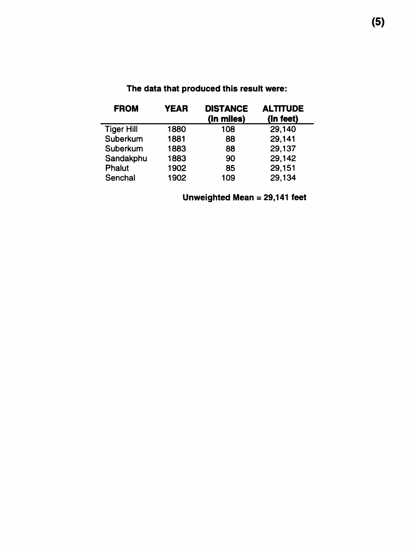| <b>FROM</b>       | <b>YEAR</b> | <b>DISTANCE</b><br>(in miles) | <b>ALTITUDE</b><br>(in feet) |
|-------------------|-------------|-------------------------------|------------------------------|
| <b>Tiger Hill</b> | 1880        | 108                           | 29,140                       |
| Suberkum          | 1881        | 88                            | 29,141                       |
| Suberkum          | 1883        | 88                            | 29,137                       |
| Sandakphu         | 1883        | 90                            | 29,142                       |
| <b>Phalut</b>     | 1902        | 85                            | 29,151                       |
| Senchal           | 1902        | 109                           | 29,134                       |

## **The data that produced this result were:**

**Unweighted Mean** = **29,141 feet** 

 $\bar{z}$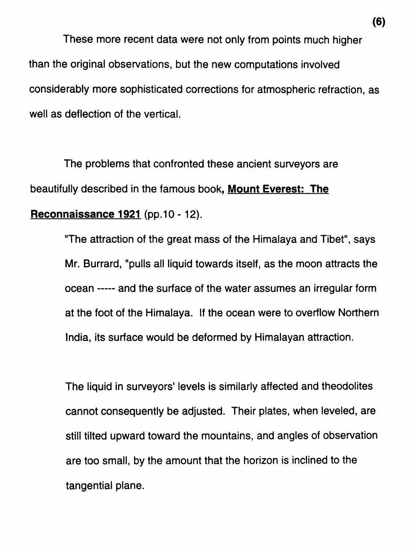These more recent data were not only from points much higher than the original observations, but the new computations involved considerably more sophisticated corrections for atmospheric refraction, as well as deflection of the vertical.

The problems that confronted these ancient surveyors are beautifully described in the famous book, **Mount Everest: The Reconnaissance 1921** (pp.10 - 12).

> "The attraction of the great mass of the Himalaya and Tibet", says Mr. Burrard, "pulls all liquid towards itself, as the moon attracts the ocean ----- and the surface of the water assumes an irregular form at the foot of the Himalaya. If the ocean were to overflow Northern India, its surface would be deformed by Himalayan attraction.

> The liquid in surveyors' levels is similarly affected and theodolites cannot consequently be adjusted. Their plates, when leveled, are still tilted upward toward the mountains, and angles of observation are too small, by the amount that the horizon is inclined to the tangential plane.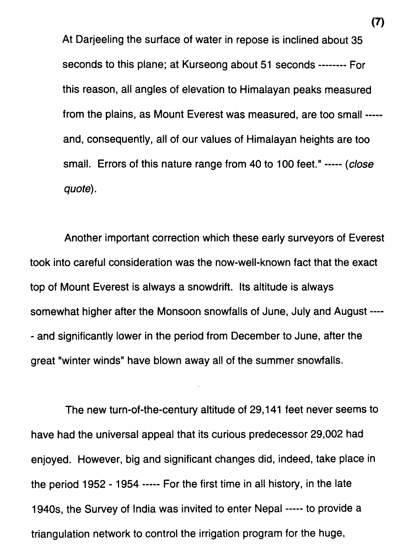At Darjeeling the surface of water in repose is inclined about 35. seconds to this plane; at Kurseong about 51 seconds -------- For this reason, all angles of elevation to Himalayan peaks measured from the plains, as Mount Everest was measured, are too small ---- and, consequently, all of our values of Himalayan heights are too small. Errors of this nature range from 40 to 100 feet." ----- (close quote).

Another important correction which these early surveyors of Everest took into careful consideration was the now-well-known fact that the exact top of Mount Everest is always a snowdrift. Its altitude is always somewhat higher after the Monsoon snowfalls of June, July and August ---- - and significantly lower in the period from December to June, after the great "winter winds" have blown away all of the summer snowfalls.

The new turn-of-the-century altitude of 29,141 feet never seems to have had the universal appeal that its curious predecessor 29,002 had enjoyed. However, big and significant changes did, indeed, take place in the period 1952 - 1954 ----- For the first time in all history, in the late 1940s, the Survey of India was invited to enter Nepal ----- to provide a triangulation network to control the irrigation program for the huge,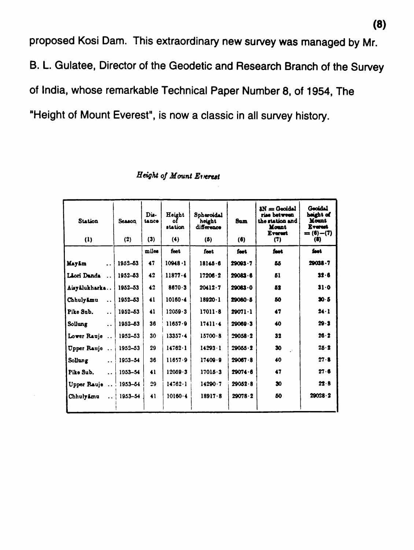proposed Kosi Dam. This extraordinary new survey was managed by Mr. B. L. Gulatee, Director of the Geodetic and Research Branch of the Survey of India, whose remarkable Technical Paper Number 8, of 1954, The 'Height of Mount Everest", is now a classic in all survey history.

| <b>Station</b>                    | <b>Season</b>      | Dis-<br>tance | Height<br>٥f<br><b>station</b> | Spheroidal<br>height<br>difference | <b>Sum</b>      | $AN = GoodAL$<br>riae between<br>the station and<br><b>Mount</b><br><b>Everent</b> | Geoidal<br>height of<br>Mount<br><b>Everant</b><br>$= (6) - (7)$ |
|-----------------------------------|--------------------|---------------|--------------------------------|------------------------------------|-----------------|------------------------------------------------------------------------------------|------------------------------------------------------------------|
| (1)                               | (2)                | (3)           | (4)                            | (5)                                | (6)             | (7)                                                                                | (8)                                                              |
|                                   |                    | miles         | feet                           | feet                               | fast            | fact                                                                               | fant.                                                            |
| <b>Mayim</b><br>$\sim$ $\sim$     | 1952-53            | 47            | $10948 - 1$                    | 18145.6                            | $29003 - 7$     | 86                                                                                 | 29038.7                                                          |
| Liori Danda                       | 1952-53            | 42            | $11877 - 4$                    | 17206.2                            | $29083 - 6$     | 51                                                                                 | 32.6                                                             |
| Aisyalukharka                     | 1952-53            | 42            | 8670.3                         | $20412 \cdot 7$                    | 29083.0         | 52                                                                                 | $31 - 0$                                                         |
| Chhulyimu<br>$\ddotsc$            | 1952-53            | 41            | $10160 - 4$                    | $18920 - 1$                        | $29080 - 5$     | 50                                                                                 | 30.5                                                             |
| Pike Sub.<br>$\ddot{\phantom{a}}$ | 1952-53            | 41            | $12059 - 3$                    | $17011 - 8$                        | $29071 - 1$     | 47                                                                                 | $24 - 1$                                                         |
| Sollung<br>$\ddot{\phantom{a}}$   | 1952–53            | 36            | $11657 - 9$                    | $17411 - 4$                        | $20069 - 3$     | 40                                                                                 | $29 - 3$                                                         |
| Lower Rauje                       | 1952-53            | 30            | $13357 - 4$                    | $15700 - 8$                        | 29058.2         | 32                                                                                 | 26.2                                                             |
| Upper Rauje                       | $1952 - 53$        | 29            | $14762 \cdot 1$                | $14293 - 1$                        | $29055 \cdot 2$ | 30                                                                                 | 25.2                                                             |
| Sollung<br>$\ddot{\phantom{a}}$   | $1953 - 54$        | 36            | 11657.9                        | $17409 - 9$                        | 29067.8         | 40                                                                                 | 27.8                                                             |
| Pike Sub.<br>$\dddot{\bullet}$    | $1953 - 54$        | 41            | 12059.3                        | 17015.3                            | 29074.6         | 47                                                                                 | 27.6                                                             |
| Upper Rauje    1953-54            |                    | 29            | $14762 - 1$                    | $14290 - 7$                        | $29052 - 8$     | 30                                                                                 | 22.8                                                             |
| Chhulyimu                         | $\ldots$   1953–54 | 41            | $10160 - 4$                    | $18917 - 8$                        | 29078.2         | 50                                                                                 | 29028.2                                                          |

## *Height of Mount Etverest*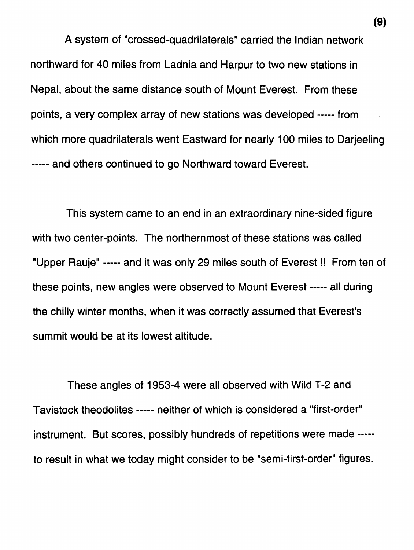**A** system of "crossed-quadrilaterals" carried the Indian network northward for 40 miles from Ladnia and Harpur to two new stations in Nepal, about the same distance south of Mount Everest. From these points, a very complex array of new stations was developed ----- from which more quadrilaterals went Eastward for nearly 100 miles to Darjeeling ----- and others continued to go Northward toward Everest.

This system came to an end in an extraordinary nine-sided figure with two center-points. The northernmost of these stations was called "Upper Rauje" ----- and it was only 29 miles south of Everest !! From ten of these points, new angles were observed to Mount Everest ----- all during the chilly winter months, when it was correctly assumed that Everest's summit would be at its lowest altitude.

These angles of 1953-4 were all observed with Wild T-2 and Tavistock theodolites ----- neither of which is considered a "first-order" instrument. But scores, possibly hundreds of repetitions were made ---- to result in what we today might consider to be "semi-first-order" figures.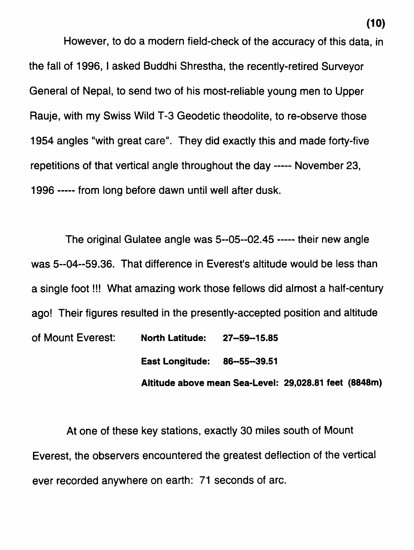However, to do a modern field-check of the accuracy of this data, in the fall of 1996, 1 asked Buddhi Shrestha, the recently-retired Surveyor General of Nepal, to send two of his most-reliable young men to Upper Rauje, with my Swiss Wild T-3 Geodetic theodolite, to re-observe those 1954 angles "with great care". They did exactly this and made forty-five repetitions of that vertical angle throughout the day ----- November 23, 1996 ----- from long before dawn until well after dusk.

The original Gulatee angle was 5--05--02.45 ----- their new angle was 5--04--59.36. That difference in Everest's altitude would be less than a single foot !!! What amazing work those fellows did almost a half-century ago! Their figures resulted in the presently-accepted position and altitude of Mount Everest: **North Latitude: 27-59-1 5.85 East Longitude: 86-55-39.51** 

**Altitude above mean Sea-Level: 29,028.81 feet (8848m)** 

**At** one of these key stations, exactly 30 miles south of Mount Everest, the observers encountered the greatest deflection of the vertical ever recorded anywhere on earth: 71 seconds of arc.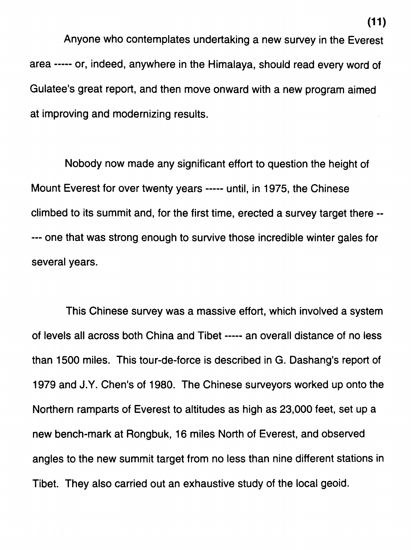Anyone who contemplates undertaking a new survey in the Everest area ----- or, indeed, anywhere in the Himalaya, should read every word of Gulatee's great report, and then move onward with a new program aimed at improving and modernizing results.

Nobody now made any significant effort to question the height of Mount Everest for over twenty years ----- until, in 1975, the Chinese climbed to its summit and, for the first time, erected a survey target there -- --- one that was strong enough to survive those incredible winter gales for several years.

This Chinese survey was a massive effort, which involved a system of levels all across both China and Tibet ----- an overall distance of no less than 1500 miles. This tour-de-force is described in G. Dashang's report of 1979 and J.Y. Chen's of 1980. The Chinese surveyors worked up onto the Northern ramparts of Everest to altitudes as high as 23,000 feet, set up a new bench-mark at Rongbuk, 16 miles North of Everest, and observed angles to the new summit target from no less than nine different stations in Tibet. They also carried out an exhaustive study of the local geoid.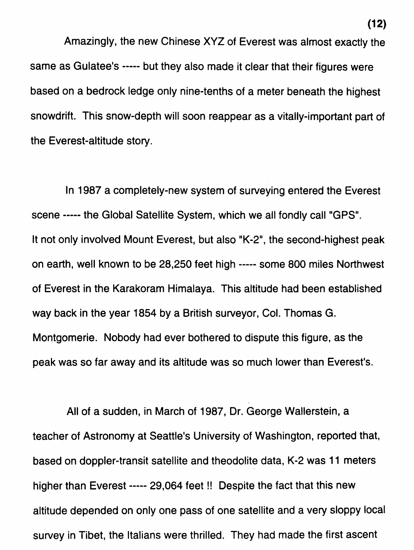Amazingly, the new Chinese XYZ of Everest was almost exactly the same as Gulatee's ----- but they also made it clear that their figures were based on a bedrock ledge only nine-tenths of a meter beneath the highest snowdrift. This snow-depth will soon reappear as a vitally-important part of the Everest-altitude story.

In 1987 a completely-new system of surveying entered the Everest scene ----- the Global Satellite System, which we all fondly call "GPS". It not only involved Mount Everest, but also "K-2", the second-highest peak on earth, well known to be 28,250 feet high ----- some 800 miles Northwest of Everest in the Karakoram Himalaya. This altitude had been established way back in the year 1854 by a British surveyor, Col. Thomas G. Montgomerie. Nobody had ever bothered to dispute this figure, as the peak was so far away and its altitude was so much lower than Everest's.

All of a sudden, in March of 1987, Dr. George Wallerstein, a teacher of Astronomy at Seattle's University of Washington, reported that, based on doppler-transit satellite and theodolite data, K-2 was 11 meters higher than Everest ----- 29,064 feet !! Despite the fact that this new altitude depended on only one pass of one satellite and a very sloppy local survey in Tibet, the Italians were thrilled. They had made the first ascent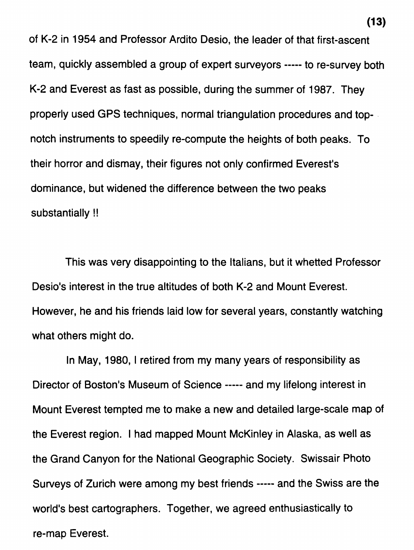of K-2 in 1954 and Professor Ardito Desio, the leader of that first-ascent team, quickly assembled a group of expert surveyors ----- to re-survey both K-2 and Everest as fast as possible, during the summer of 1987. They properly used GPS techniques, normal triangulation procedures and topnotch instruments to speedily re-compute the heights of both peaks. To their horror and dismay, their figures not only confirmed Everest's dominance, but widened the difference between the two peaks substantially !!

This was very disappointing to the Italians, but it whetted Professor Desio's interest in the true altitudes of both K-2 and Mount Everest. However, he and his friends laid low for several years, constantly watching what others might do.

In May, 1980, 1 retired from my many years of responsibility as Director of Boston's Museum of Science ----- and my lifelong interest in Mount Everest tempted me to make a new and detailed large-scale map of the Everest region. I had mapped Mount McKinley in Alaska, as well as the Grand Canyon for the National Geographic Society. Swissair Photo Surveys of Zurich were among my best friends ----- and the Swiss are the world's best cartographers. Together, we agreed enthusiastically to re-map Everest.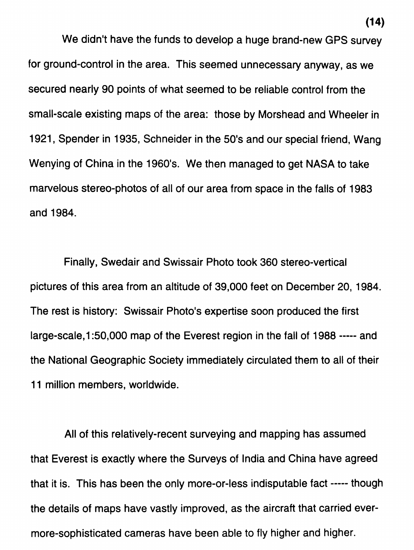We didn't have the funds to develop a huge brand-new GPS survey for ground-control in the area. This seemed unnecessary anyway, as we secured nearly 90 points of what seemed to be reliable control from the small-scale existing maps of the area: those by Morshead and Wheeler in 1921, Spender in 1935, Schneider in the 50's and our special friend, Wang Wenying of China in the 1960's. We then managed to get NASA to take marvelous stereo-photos of all of our area from space in the falls of 1983 and 1984.

Finally, Swedair and Swissair Photo took 360 stereo-vertical pictures of this area from an altitude of 39,000 feet on December 20, 1984. The rest is history: Swissair Photo's expertise soon produced the first large-scale, 1:50,000 map of the Everest region in the fall of 1988 ----- and the National Geographic Society immediately circulated them to all of their 11 million members, worldwide.

All of this relatively-recent surveying and mapping has assumed that Everest is exactly where the Surveys of India and China have agreed that it is. This has been the only more-or-less indisputable fact ----- though the details of maps have vastly improved, as the aircraft that carried evermore-sophisticated cameras have been able to fly higher and higher.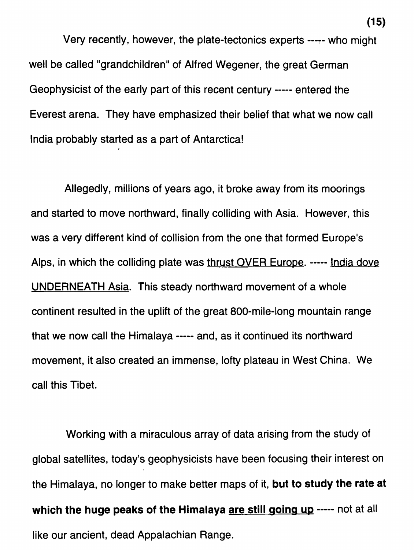Very recently, however, the plate-tectonics experts ----- who might well be called "grandchildren" of Alfred Wegener, the great German Geophysicist of the early part of this recent century ----- entered the Everest arena. They have emphasized their belief that what we now call India probably started as a part of Antarctica!

*I* 

Allegedly, millions of years ago, it broke away from its moorings and started to move northward, finally colliding with Asia. However, this was a very different kind of collision from the one that formed Europe's Alps, in which the colliding plate was thrust OVER Europe. ----- India dove UNDERNEATH Asia. This steady northward movement of a whole continent resulted in the uplift of the great 800-mile-long mountain range that we now call the Himalaya ----- and, as it continued its northward movement, it also created an immense, lofty plateau in West China. We call this Tibet.

Working with a miraculous array of data arising from the study of global satellites, today's geophysicists have been focusing their interest on the Himalaya, no longer to make better maps of it, **but to study the rate at**  which the huge peaks of the Himalaya are still going up ----- not at all like our ancient, dead Appalachian Range.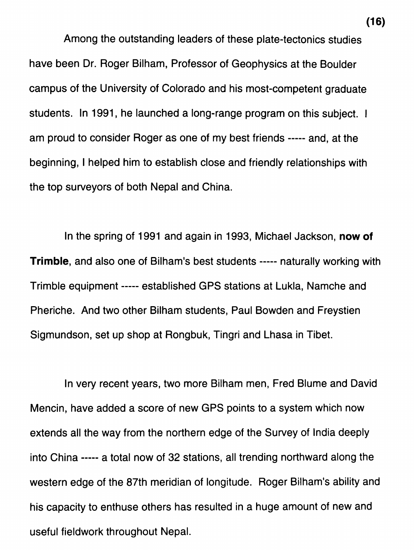Among the outstanding leaders of these plate-tectonics studies have been Dr. Roger Bilham, Professor of Geophysics at the Boulder campus of the University of Colorado and his most-competent graduate students. In 1991, he launched a long-range program on this subject. I am proud to consider Roger as one of my best friends ----- and, at the beginning, I helped him to establish close and friendly relationships with the top surveyors of both Nepal and China.

In the spring of 1991 and again in 1993, Michael Jackson, **now of Trimble,** and also one of Bilham's best students ----- naturally working with Trimble equipment ----- established GPS stations at Lukla, Namche and Pheriche. And two other Bilham students, Paul Bowden and Freystien Sigmundson, set up shop at Rongbuk, Tingri and Lhasa in Tibet.

In very recent years, two more Bilham men, Fred Blume and David Mencin, have added a score of new GPS points to a system which now extends all the way from the northern edge of the Survey of India deeply into China ----- a total now of 32 stations, all trending northward along the western edge of the 87th meridian of longitude. Roger Bilham's ability and his capacity to enthuse others has resulted in a huge amount of new and useful fieldwork throughout Nepal.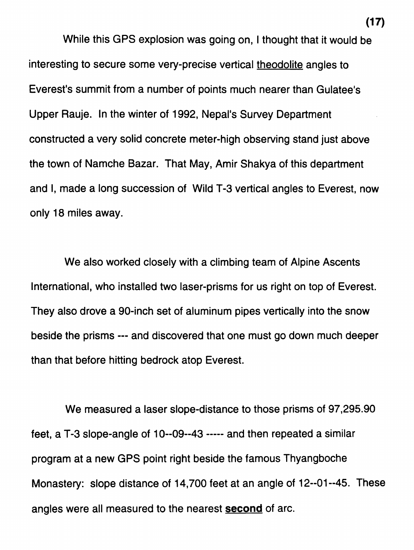While this GPS explosion was going on, I thought that it would be interesting to secure some very-precise vertical theodolite angles to Everest's summit from a number of points much nearer than Gulatee's Upper Rauje. In the winter of 1992, Nepal's Survey Department constructed a very solid concrete meter-high observing stand just above the town of Namche Bazar. That May, Amir Shakya of this department and I, made a long succession of Wild T-3 vertical angles to Everest, now only 18 miles away.

We also worked closely with a climbing team of Alpine Ascents International, who installed two laser-prisms for us right on top of Everest. They also drove a 90-inch set of aluminum pipes vertically into the snow beside the prisms --- and discovered that one must go down much deeper than that before hitting bedrock atop Everest.

We measured a laser slope-distance to those prisms of 97,295.90 feet, a T-3 slope-angle of 10--09--43 ----- and then repeated a similar program at a new GPS point right beside the famous Thyangboche Monastery: slope distance of 14,700 feet at an angle of 12--01--45. These angles were all measured to the nearest **second** of arc.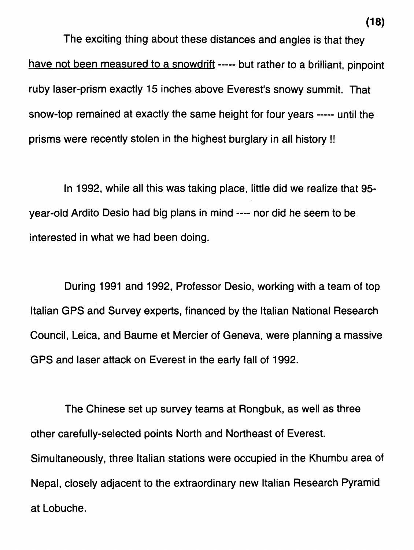The exciting thing about these distances and angles is that they have not been measured to a snowdrift ----- but rather to a brilliant, pinpoint ruby laser-prism exactly 15 inches above Everest's snowy summit. That snow-top remained at exactly the same height for four years ----- until the prisms were recently stolen in the highest burglary in all history !!

In 1992, while all this was taking place, little did we realize that 95 year-old Ardito Desio had big plans in mind ---- nor did he seem to be interested in what we had been doing.

During 1991 and 1992, Professor Desio, working with a team of top ltalian GPS and Survey experts, financed by the ltalian National Research Council, Leica, and Baume et Mercier of Geneva, were planning a massive GPS and laser attack on Everest in the early fall of 1992.

The Chinese set up survey teams at Rongbuk, as well as three other carefully-selected points North and Northeast of Everest. Simultaneously, three ltalian stations were occupied in the Khumbu area of Nepal, closely adjacent to the extraordinary new ltalian Research Pyramid at Lobuche.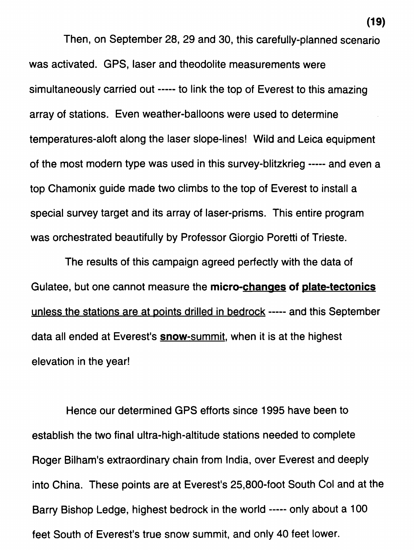Then, on September 28, 29 and 30, this carefully-planned scenario was activated. GPS, laser and theodolite measurements were simultaneously carried out ----- to link the top of Everest to this amazing array of stations. Even weather-balloons were used to determine temperatures-aloft along the laser slope-lines! Wild and Leica equipment of the most modern type was used in this survey-blitzkrieg ----- and even a top Chamonix guide made two climbs to the top of Everest to install a special survey target and its array of laser-prisms. This entire program was orchestrated beautifully by Professor Giorgio Poretti of Trieste.

The results of this campaign agreed perfectly with the data of Gulatee, but one cannot measure the micro-changes of plate-tectonics unless the stations are at points drilled in bedrock ----- and this September data all ended at Everest's **snow-summit**, when it is at the highest elevation in the year!

Hence our determined GPS efforts since 1995 have been to establish the two final ultra-high-altitude stations needed to complete Roger Bilham's extraordinary chain from India, over Everest and deeply into China. These points are at Everest's 25,800-foot South Col and at the Barry Bishop Ledge, highest bedrock in the world ----- only about a 100 feet South of Everest's true snow summit, and only 40 feet lower.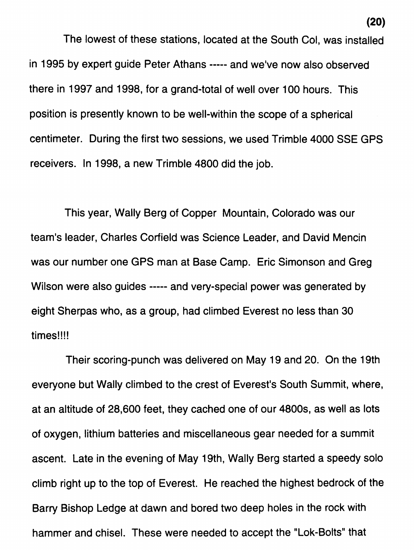The lowest of these stations, located at the South Col, was installed in 1995 by expert guide Peter Athans ----- and we've now also observed there in 1997 and 1998, for a grand-total of well over I00 hours. This position is presently known to be well-within the scope of a spherical centimeter. During the first two sessions, we used Trimble 4000 SSE GPS receivers. In 1998, a new Trimble 4800 did the job.

This year, Wally Berg of Copper Mountain, Colorado was our team's leader, Charles Corfield was Science Leader, and David Mencin was our number one GPS man at Base Camp. Eric Simonson and Greg Wilson were also guides ----- and very-special power was generated by eight Sherpas who, as a group, had climbed Everest no less than 30 times!!!!

Their scoring-punch was delivered on May 19 and 20. On the 19th everyone but Wally climbed to the crest of Everest's South Summit, where, at an altitude of 28,600 feet, they cached one of our 4800s, as well as lots of oxygen, lithium batteries and miscellaneous gear needed for a summit ascent. Late in the evening of May 19th, Wally Berg started a speedy solo climb right up to the top of Everest. He reached the highest bedrock of the Barry Bishop Ledge at dawn and bored two deep holes in the rock with hammer and chisel. These were needed to accept the "Lok-Bolts" that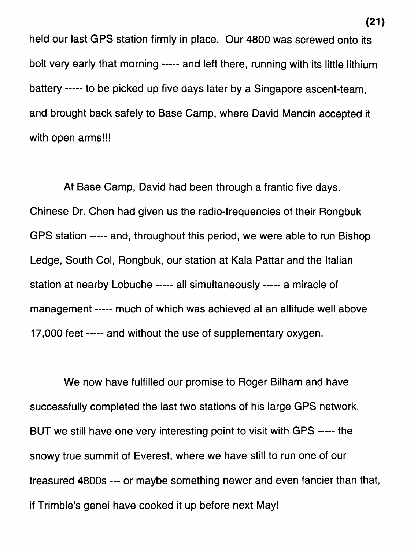held our last GPS station firmly in place. Our 4800 was screwed onto its bolt very early that morning ----- and left there, running with its little lithium battery ----- to be picked up five days later by a Singapore ascent-team, and brought back safely to Base Camp, where David Mencin accepted it with open arms!!!

At Base Camp, David had been through a frantic five days. Chinese Dr. Chen had given us the radio-frequencies of their Rongbuk GPS station ----- and, throughout this period, we were able to run Bishop Ledge, South Col, Rongbuk, our station at Kala Pattar and the Italian station at nearby Lobuche ----- all simultaneously ----- a miracle of management ----- much of which was achieved at an altitude well above 17,000 feet ----- and without the use of supplementary oxygen.

We now have fulfilled our promise to Roger Bilham and have successfully completed the last two stations of his large GPS network. BUT we still have one very interesting point to visit with GPS ----- the snowy true summit of Everest, where we have still to run one of our treasured 4800s --- or maybe something newer and even fancier than that, if Trimble's genei have cooked it up before next May!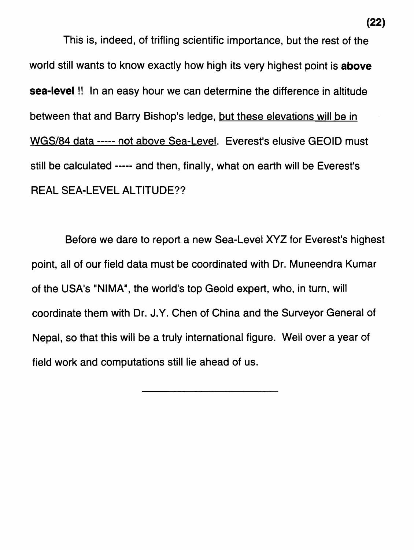This is, indeed, of trifling scientific importance, but the rest of the world still wants to know exactly how high its very highest point is **above sea-level** !! In an easy hour we can determine the difference in altitude between that and Barry Bishop's ledge, but these elevations will be in WGS/84 data ----- not above Sea-Level. Everest's elusive GEOID must still be calculated ----- and then, finally, what on earth will be Everest's REAL SEA-LEVEL ALTITUDE??

Before we dare to report a new Sea-Level XYZ for Everest's highest point, all of our field data must be coordinated with Dr. Muneendra Kumar of the USA's "NIMA", the world's top Geoid expert, who, in turn, will coordinate them with Dr. J.Y. Chen of China and the Surveyor General of Nepal, so that this will be a truly international figure. Well over a year of field work and computations still lie ahead of us.